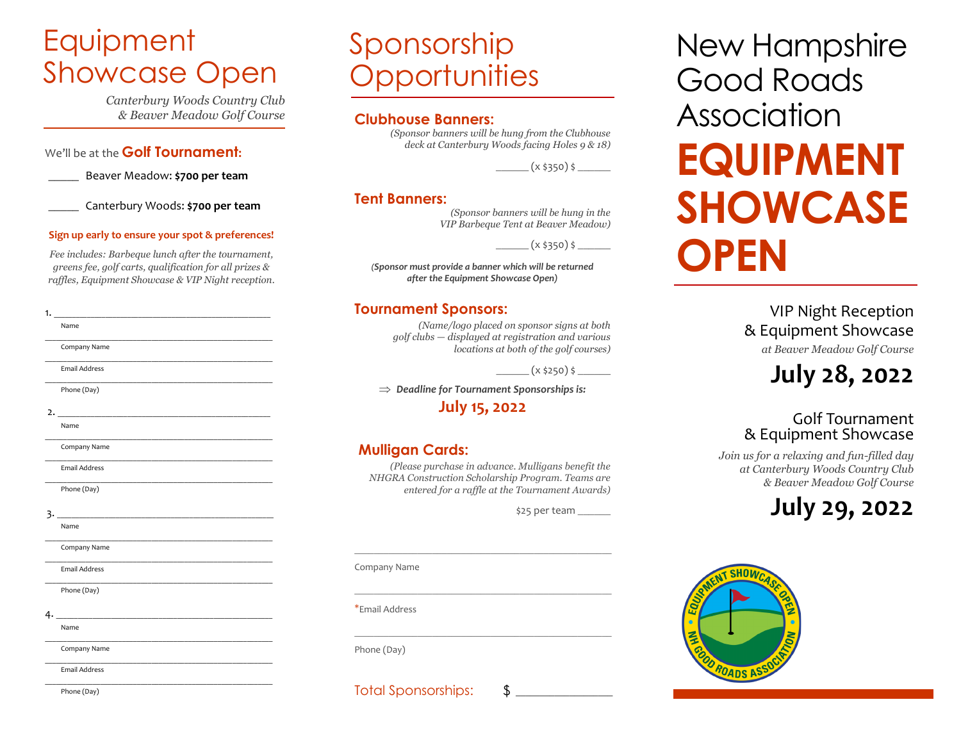# **Equipment** Showcase Open

*Canterbury Woods Country Club & Beaver Meadow Golf Course*

## We'll be at the **Golf Tournament:**

\_\_\_\_\_ Beaver Meadow: **\$700 per team**

\_\_\_\_\_ Canterbury Woods: **\$700 per team**

#### **Sign up early to ensure your spot & preferences!**

*Fee includes: Barbeque lunch after the tournament, greens fee, golf carts, qualification for all prizes & raffles, Equipment Showcase & VIP Night reception.*

| 1. |                      |
|----|----------------------|
|    | Name                 |
|    | Company Name         |
|    | <b>Email Address</b> |
|    | Phone (Day)          |
|    | 2. $\qquad \qquad$   |
|    | Name                 |
|    | Company Name         |
|    | <b>Email Address</b> |
|    | Phone (Day)          |
| ٦. |                      |
|    | Name                 |
|    | Company Name         |
|    | <b>Email Address</b> |
|    | Phone (Day)          |
| 4  |                      |
|    | Name                 |
|    | Company Name         |
|    | <b>Email Address</b> |
|    | Phone (Day)          |

# Sponsorship **Opportunities**

#### **Clubhouse Banners:**

*(Sponsor banners will be hung from the Clubhouse deck at Canterbury Woods facing Holes 9 & 18)* 

**\_\_\_\_\_\_** (x \$350) \$ **\_\_\_\_\_\_**

## **Tent Banners:**

*(Sponsor banners will be hung in the VIP Barbeque Tent at Beaver Meadow)*

**\_\_\_\_\_\_** (x \$350) \$ **\_\_\_\_\_\_**

*(Sponsor must provide a banner which will be returned after the Equipment Showcase Open)*

## **Tournament Sponsors:**

*(Name/logo placed on sponsor signs at both golf clubs — displayed at registration and various locations at both of the golf courses)*

**\_\_\_\_\_\_** (x \$250) \$ **\_\_\_\_\_\_**

 *Deadline for Tournament Sponsorships is:* 

**July 15, 2022**

## **Mulligan Cards:**

*(Please purchase in advance. Mulligans benefit the NHGRA Construction Scholarship Program. Teams are entered for a raffle at the Tournament Awards)* 

 $\mathcal{L}_\mathcal{L}$  , and the set of the set of the set of the set of the set of the set of the set of the set of the set of the set of the set of the set of the set of the set of the set of the set of the set of the set of th

 $\mathcal{L}_\mathcal{L}$  , and the set of the set of the set of the set of the set of the set of the set of the set of the set of the set of the set of the set of the set of the set of the set of the set of the set of the set of th

 $\mathcal{L}_\mathcal{L}$  , and the set of the set of the set of the set of the set of the set of the set of the set of the set of the set of the set of the set of the set of the set of the set of the set of the set of the set of th

\$25 per team **\_\_\_\_\_\_**

Company Name

\*Email Address

Phone (Day)

Total Sponsorships: \$ \_\_\_\_\_\_\_\_\_\_\_\_\_\_\_\_\_\_\_\_

# New Hampshire Good Roads Association **EQUIPMENT SHOWCASE OPEN**

VIP Night Reception & Equipment Showcase *at Beaver Meadow Golf Course*

**July 28, 2022**

## Golf Tournament & Equipment Showcase

*Join us for a relaxing and fun-filled day at Canterbury Woods Country Club & Beaver Meadow Golf Course*

# **July 29, 2022**